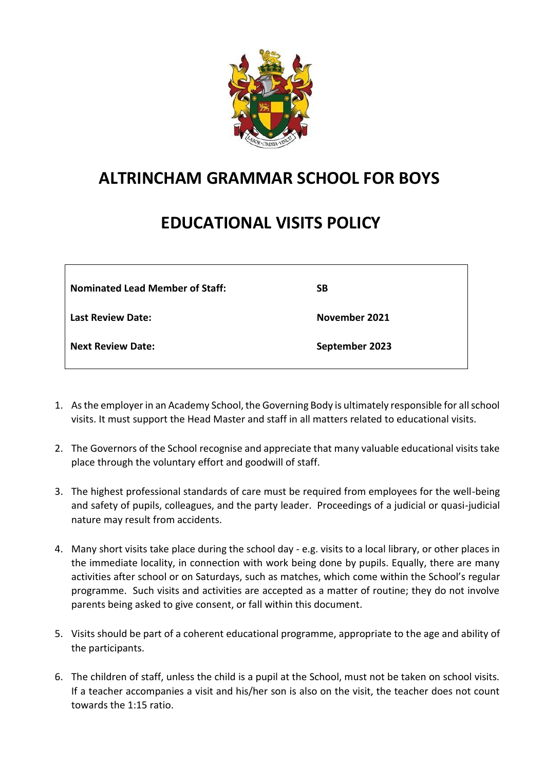

## **ALTRINCHAM GRAMMAR SCHOOL FOR BOYS**

## **EDUCATIONAL VISITS POLICY**

| <b>Nominated Lead Member of Staff:</b> | <b>SB</b>      |
|----------------------------------------|----------------|
| Last Review Date:                      | November 2021  |
| <b>Next Review Date:</b>               | September 2023 |

- 1. As the employer in an Academy School, the Governing Body is ultimately responsible for all school visits. It must support the Head Master and staff in all matters related to educational visits.
- 2. The Governors of the School recognise and appreciate that many valuable educational visits take place through the voluntary effort and goodwill of staff.
- 3. The highest professional standards of care must be required from employees for the well-being and safety of pupils, colleagues, and the party leader. Proceedings of a judicial or quasi-judicial nature may result from accidents.
- 4. Many short visits take place during the school day e.g. visits to a local library, or other places in the immediate locality, in connection with work being done by pupils. Equally, there are many activities after school or on Saturdays, such as matches, which come within the School's regular programme. Such visits and activities are accepted as a matter of routine; they do not involve parents being asked to give consent, or fall within this document.
- 5. Visits should be part of a coherent educational programme, appropriate to the age and ability of the participants.
- 6. The children of staff, unless the child is a pupil at the School, must not be taken on school visits. If a teacher accompanies a visit and his/her son is also on the visit, the teacher does not count towards the 1:15 ratio.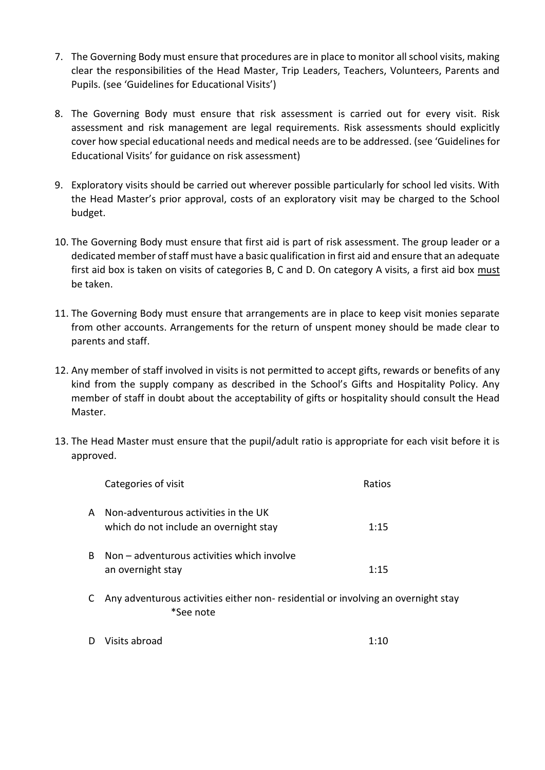- 7. The Governing Body must ensure that procedures are in place to monitor all school visits, making clear the responsibilities of the Head Master, Trip Leaders, Teachers, Volunteers, Parents and Pupils. (see 'Guidelines for Educational Visits')
- 8. The Governing Body must ensure that risk assessment is carried out for every visit. Risk assessment and risk management are legal requirements. Risk assessments should explicitly cover how special educational needs and medical needs are to be addressed. (see 'Guidelines for Educational Visits' for guidance on risk assessment)
- 9. Exploratory visits should be carried out wherever possible particularly for school led visits. With the Head Master's prior approval, costs of an exploratory visit may be charged to the School budget.
- 10. The Governing Body must ensure that first aid is part of risk assessment. The group leader or a dedicated member of staff must have a basic qualification in first aid and ensure that an adequate first aid box is taken on visits of categories B, C and D. On category A visits, a first aid box must be taken.
- 11. The Governing Body must ensure that arrangements are in place to keep visit monies separate from other accounts. Arrangements for the return of unspent money should be made clear to parents and staff.
- 12. Any member of staff involved in visits is not permitted to accept gifts, rewards or benefits of any kind from the supply company as described in the School's Gifts and Hospitality Policy. Any member of staff in doubt about the acceptability of gifts or hospitality should consult the Head Master.
- 13. The Head Master must ensure that the pupil/adult ratio is appropriate for each visit before it is approved.

|   | Categories of visit                                                                           | Ratios |
|---|-----------------------------------------------------------------------------------------------|--------|
| A | Non-adventurous activities in the UK<br>which do not include an overnight stay                | 1:15   |
| B | Non – adventurous activities which involve<br>an overnight stay                               | 1:15   |
|   | Any adventurous activities either non-residential or involving an overnight stay<br>*See note |        |

D Visits abroad 1:10